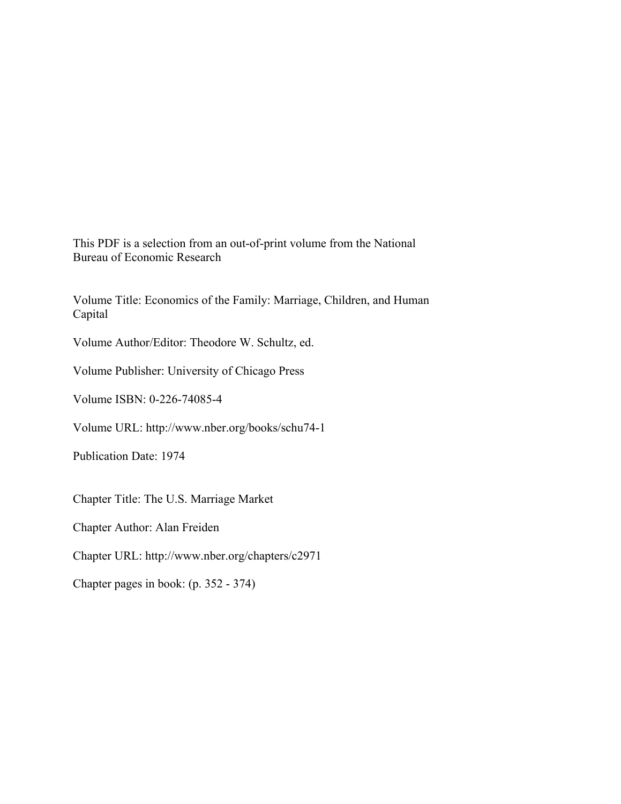This PDF is a selection from an out-of-print volume from the National Bureau of Economic Research

Volume Title: Economics of the Family: Marriage, Children, and Human Capital

Volume Author/Editor: Theodore W. Schultz, ed.

Volume Publisher: University of Chicago Press

Volume ISBN: 0-226-74085-4

Volume URL: http://www.nber.org/books/schu74-1

Publication Date: 1974

Chapter Title: The U.S. Marriage Market

Chapter Author: Alan Freiden

Chapter URL: http://www.nber.org/chapters/c2971

Chapter pages in book: (p. 352 - 374)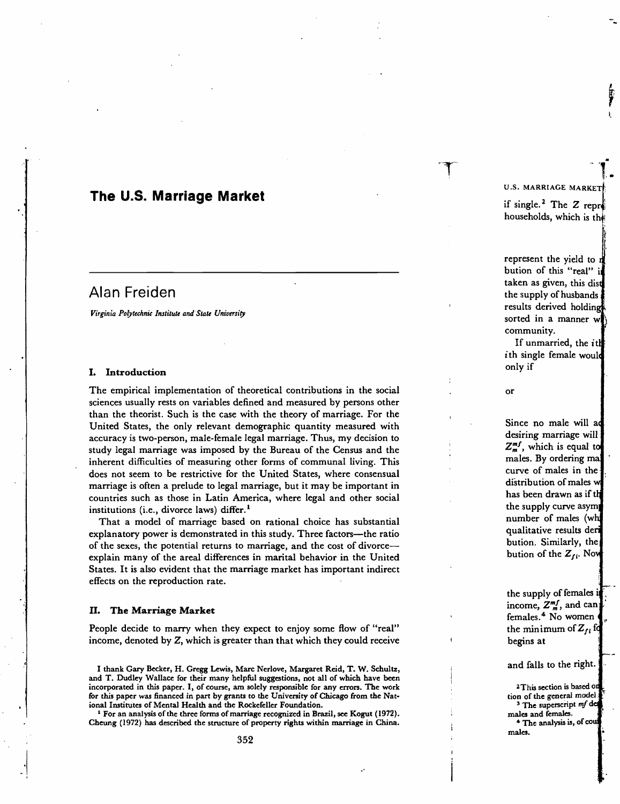# The U.S. Marriage Market

# Alan Freiden

Virginia Polytechnic Institute and State University

# I. Introduction

The empirical implementation of theoretical contributions in the social sciences usually rests on variables defined and measured by persons other than the theorist. Such is the case with the theory of marriage. For the United States, the only relevant demographic quantity measured with accuracy is two-person, male-female legal marriage. Thus, my decision to study legal marriage was imposed by the Bureau of the Census and the inherent difficulties of measuring other forms of communal living. This does not seem to be restrictive for the United States, where consensual marriage is often a prelude to legal marriage, but it may be important in countries such as those in Latin America, where legal and other social institutions (i.e., divorce laws) differ. $<sup>1</sup>$ </sup>

That a model of marriage based on rational choice has substantial explanatory power is demonstrated in this study. Three factors—the ratio of the sexes, the potential returns to marriage, and the cost of divorce explain many of the areal differences in marital behavior in the United States. It is also evident that the marriage market has important indirect effects on the reproduction rate.

# II. The Marriage Market

People decide to marry when they expect to enjoy some flow of "real" income, denoted by Z, which is greater than that which they could receive

<sup>1</sup> For an analysis of the three forms of marriage recognized in Brazil, see Kogut (1972). Cheung (1972) has described the structure of property rights within marriage in China.

I thank Gary Becker, H. Gregg Lewis, Marc Nerlove, Margaret Reid, T. W. Schultz, and T. Dudley Wallace for their many helpful suggestions, not all of which have been incorporated in this paper. I, of course, am solely responsible for any errors. The work for this paper was financed in part by grants to the University of Chicago from the National Institutes of Mental Health and the Rockefeller Foundation.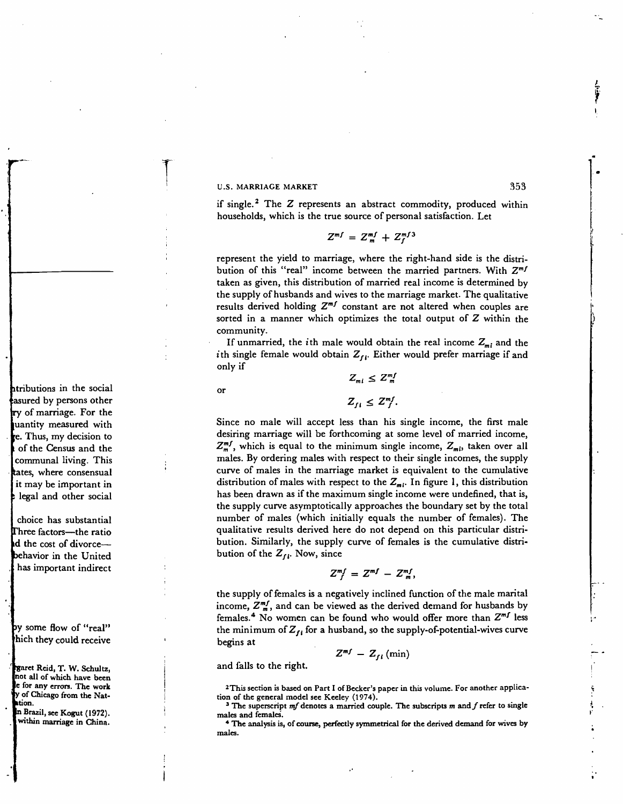if single.<sup>2</sup> The  $Z$  represents an abstract commodity, produced within households, which is the true source of personal satisfaction. Let

$$
Z^{mf} = Z_m^{mf} + Z_f^{mf}
$$

represent the yield to marriage, where the right-hand side is the distribution of this "real" income between the married partners. With  $Z^{mf}$ taken as given, this distribution of married real income is determined by the supply of husbands and wives to the marriage market. The qualitative results derived holding  $Z^{mf}$  constant are not altered when couples are sorted in a manner which optimizes the total output of  $Z$  within the community.

If unmarried, the *i*th male would obtain the real income  $Z_{mi}$  and the ith single female would obtain  $Z_{fi}$ . Either would prefer marriage if and only if  $Z_{mi} \leq Z_{m}^{mf}$ 

or

$$
\mathcal{L}_{mi} \leq \mathcal{L}_m^m
$$
  

$$
Z_{fi} \leq Z_m^f.
$$

Since no male will accept less than his single income, the first male desiring marriage will be forthcoming at some level of married income,  $Z_{m}^{mf}$ , which is equal to the minimum single income,  $Z_{mi}$ , taken over all males. By ordering males with respect to their single incomes, the supply curve of males in the marriage market is equivalent to the cumulative distribution of males with respect to the  $Z_{mi}$ . In figure 1, this distribution has been drawn as if the maximum single income were undefined, that is, the supply curve asymptotically approaches the boundary set by the total number of males (which initially equals the number of females). The qualitative results derived here do not depend on this particular distribution. Similarly, the supply curve of females is the cumulative distribution of the  $Z_{fi}$ . Now, since

$$
Z^{m}f = Z^{m}f - Z^{m}f_{m},
$$

the supply of females is a negatively inclined function of the male marital income,  $Z_{m}^{m}$ , and can be viewed as the derived demand for husbands by females.<sup>4</sup> No women can be found who would offer more than  $Z^{mf}$  less the minimum of  $Z_{fi}$  for a husband, so the supply-of-potential-wives curve begins at

$$
Z^{mf} - Z_{fi} \, (\min)
$$

and falls to the right.

2This section is based on Part I of Becker's paper in this volume. For another application of the general model see Keeley (1974).

<sup>3</sup> The superscript  $mf$  denotes a married couple. The subscripts  $m$  and  $f$  refer to single males and females.

'The analysis is, of course, perfectly symmetrical for the derived demand for wives by males.

.,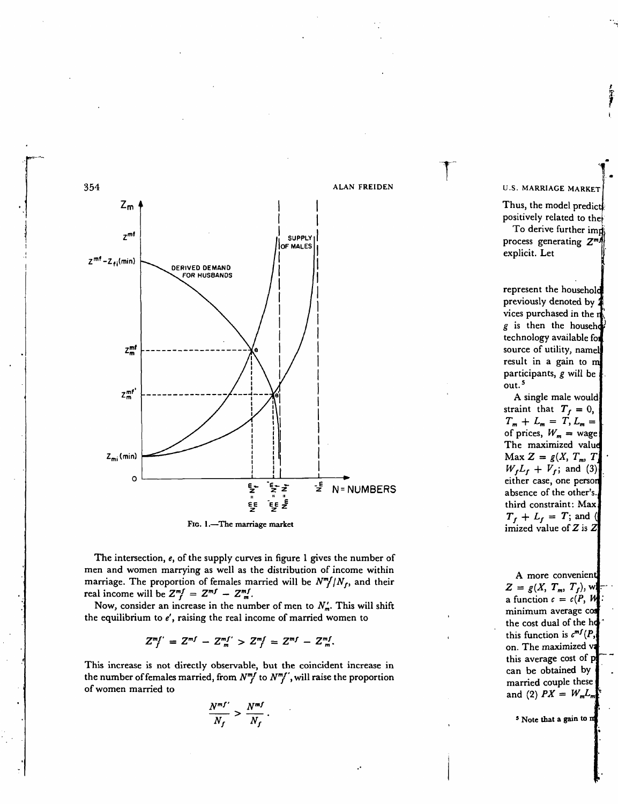

Fio. 1.—The marriage market

The intersection,  $e$ , of the supply curves in figure 1 gives the number of men and women marrying as well as the distribution of income within marriage. The proportion of females married will be  $N^m\hspace{-3pt}/\!/ N_f,$  and their real income will be  $Z^{mf}_{f} = Z^{mf} - Z^{mf}_{m}$ .

Now, consider an increase in the number of men to  $N'_m$ . This will shift the equilibrium to e', raising the real income of married women to

$$
Z^{mf'} = Z^{mf} - Z^{mf'}_{m} > Z^{mf}_{f} = Z^{mf} - Z^{mf}_{m}.
$$

This increase is not directly observable, but the coincident increase in the number of females married, from  $N^m f$  to  $N^m f'$ , will raise the proportion of women married to

$$
\frac{N^{mf'}}{N_f} > \frac{N^{mf}}{N_f}.
$$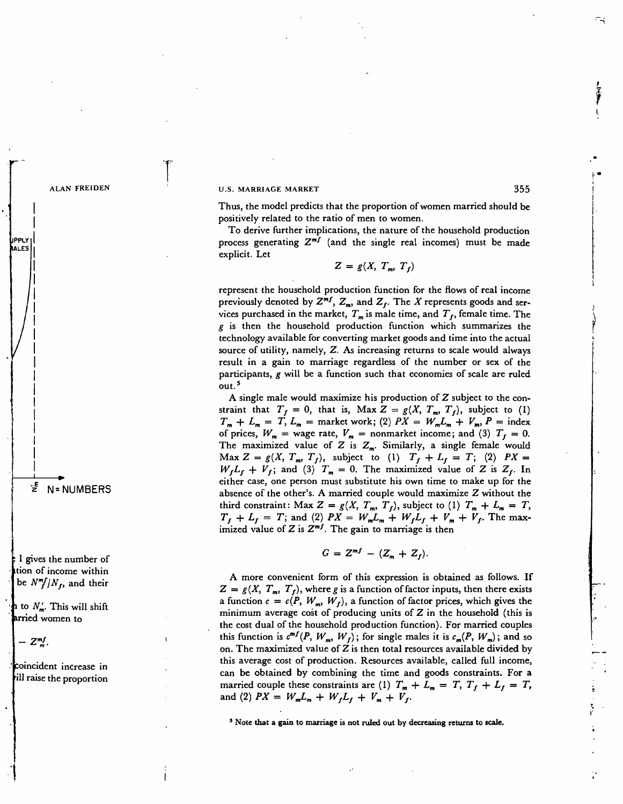### U.S. MARRIAGE MARKET 355

<sup>I</sup> Thus, the model predicts that the proportion of women married should be positively related to the ratio of men to women.

To derive further implications, the nature of the household production process generating  $Z^{mf}$  (and the single real incomes) must be made explicit. Let

$$
Z = g(X, T_m, T_f)
$$

represent the household production function for the flows of real income previously denoted by  $Z^{mf}$ ,  $Z_m$ , and  $Z_f$ . The X represents goods and services purchased in the market,  $T_m$  is male time, and  $T_f$ , female time. The g is then the household production function which summarizes the technology available for converting market goods and time into the actual source of utility, namely, Z. As increasing returns to scale would always result in a gain to marriage regardless of the number or sex of the participants, g will be a function such that economies of scale are ruled<br>out.<sup>5</sup>  $\mathbf{u}$  out.<sup>5</sup>

<sup>I</sup> <sup>A</sup> single male would maximize his production of Z subject to the con straint that  $T_f = 0$ , that is, Max  $Z = g(X, T_m, T_f)$ , subject to (1)  $T_m + L_m = T$ ,  $L_m$  = market work; (2)  $PX = W_m L_m + V_m$ ,  $P = \text{index}$ of prices,  $W_m$  = wage rate,  $V_m$  = nonmarket income; and (3)  $T_f = 0$ . The maximized value of Z is  $Z_m$ . Similarly, a single female would Max  $Z = g(X, T_m, T_f)$ , subject to (1)  $T_f + L_f = T$ ; (2)  $PX =$ participants, g will be a function such that economies of scale are ruled<br>out.<sup>5</sup><br>A single male would maximize his production of Z subject to the con-<br>straint that  $T_f = 0$ , that is, Max  $Z = g(X, T_m, T_f)$ , subject to (1)<br> $T_m + L$  $W<sub>f</sub>L<sub>f</sub> + V<sub>f</sub>$ ; and (3)  $T<sub>m</sub> = 0$ . The maximized value of Z is  $Z<sub>f</sub>$ . In either case, one person must substitute his own time to make up for the absence of the other's. A married couple would maximize  $Z$  without the third constraint: Max  $Z = g(X, T_m, T_f)$ , subject to (1)  $T_m + L_m = T$ ,  $T_f + L_f = T$ ; and (2)  $PX = W_m L_m + W_f L_f + V_m + V_f$ . The maximized value of Z is  $Z^{mf}$ . The gain to marriage is then

$$
G=Z^{mf}-(Z_m+Z_f).
$$

A more convenient form of this expression is obtained as follows. If  $Z = g(X, T_m, T_f)$ , where g is a function of factor inputs, then there exists a function  $c = c(P, W_m, W_f)$ , a function of factor prices, which gives the minimum average cost of producing units of Z in the household (this is the cost dual of the household production function). For married couples this function is  $c^{mf}(P, W_m, W_f)$ ; for single males it is  $c_m(P, W_m)$ ; and so on. The maximized value of  $Z$  is then total resources available divided by this average cost of production. Resources available, called full income, can be obtained by combining the time and goods constraints. For a married couple these constraints are (1)  $T_m + L_m = T$ ,  $T_f + L_f = T$ , and (2)  $PX = W_m L_m + W_f L_f + V_m + V_f$ .

<sup>5</sup> Note that a gain to marriage is not ruled out by decreasing returns to scale.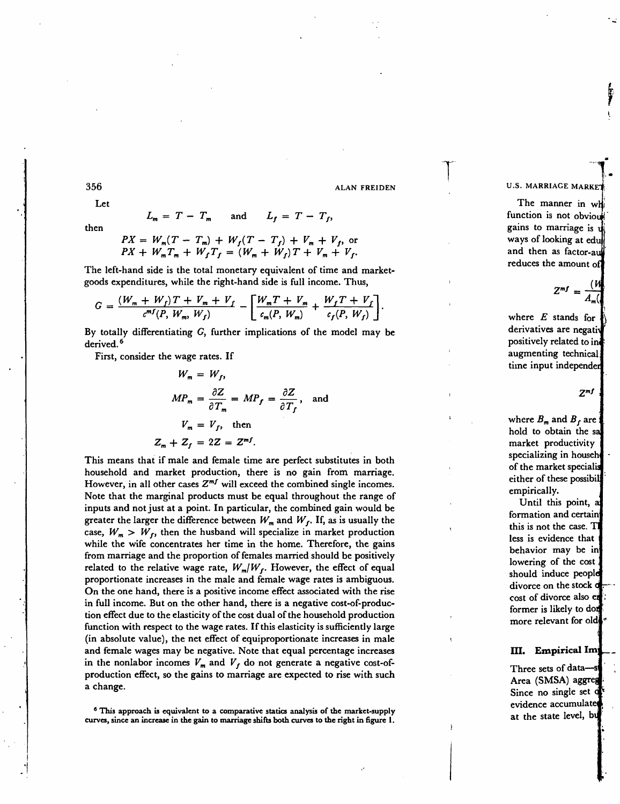Let

$$
L_m = T - T_m \quad \text{and} \quad L_f = T - T_f,
$$

then

$$
PX = W_m(T - T_m) + W_f(T - T_f) + V_m + V_f, \text{ or}
$$
  

$$
PX + W_m T_m + W_f T_f = (W_m + W_f)T + V_m + V_f.
$$

The left-hand side is the total monetary equivalent of time and marketgoods expenditures, while the right-hand side is full income. Thus,

$$
G = \frac{(W_m + W_f)T + V_m + V_f}{c^{m}P(H, W_m, W_f)} - \left[\frac{W_mT + V_m}{c_m(P, W_m)} + \frac{W_f T + V_f}{c_f(P, W_f)}\right].
$$

By totally differentiating G, further implications of the model may be derived. 6

First, consider the wage rates. If

$$
W_m = W_f,
$$
  
\n
$$
MP_m = \frac{\partial Z}{\partial T_m} = MP_f = \frac{\partial Z}{\partial T_f},
$$
 and  
\n
$$
V_m = V_f,
$$
 then  
\n
$$
Z_m + Z_f = 2Z = Z^{mf}.
$$

This means that if male and female time are perfect substitutes in both household and market production, there is no gain from marriage. However, in all other cases  $Z^{mf}$  will exceed the combined single incomes. Note that the marginal products must be equal throughout the range of inputs and not just at a point. In particular, the combined gain would be greater the larger the difference between  $W_m$  and  $W_f$ . If, as is usually the case,  $W_m > W_f$ , then the husband will specialize in market production while the wife concentrates her time in the home. Therefore, the gains from marriage and the proportion of females married should be positively related to the relative wage rate,  $W_m/W_f$ . However, the effect of equal proportionate increases in the male and female wage rates is ambiguous. On the one hand, there is a positive income effect associated with the rise in full income. But on the other hand, there is a negative cost-of-production effect due to the elasticity of the cost dual of the household production function with respect to the wage rates. If this elasticity is sufficiently large (in absolute value), the net effect of equiproportionate increases in male and female wages may be negative. Note that equal percentage increases in the nonlabor incomes  $V_m$  and  $V_f$  do not generate a negative cost-ofproduction effect, so the gains to marriage are expected to rise with such a change.

<sup>6</sup> This approach is equivalent to a comparative statics analysis of the market-supply curves, since an increase in the gain to marriage shifts both curves to the right in figure 1.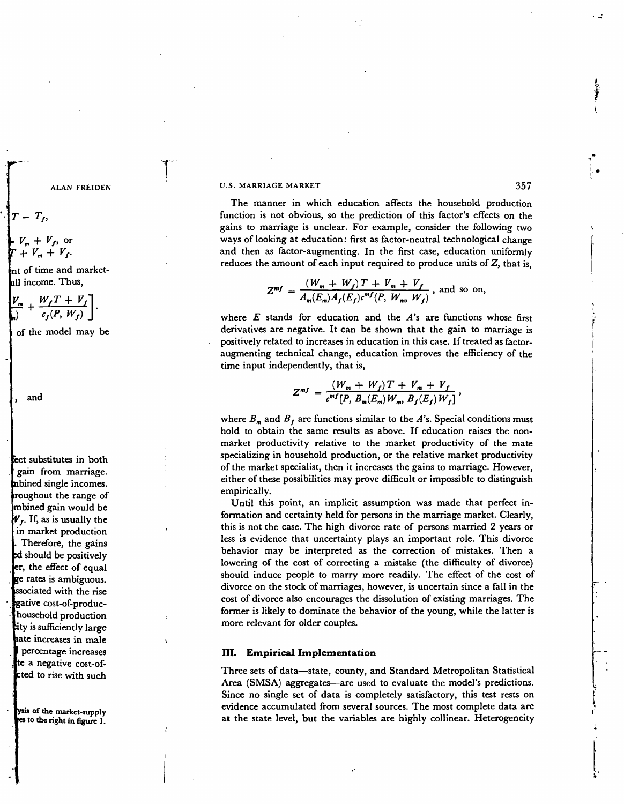The manner in which education affects the household production function is not obvious, so the prediction of this factor's effects on the gains to marriage is unclear. For example, consider the following two ways of looking at education: first as factor-neutral technological change and then as factor-augmenting. In the first case, education uniformly reduces the amount of each input required to produce units of  $Z$ , that is,

$$
Z^{mf} = \frac{(W_m + W_f)T + V_m + V_f}{A_m(E_m)A_f(E_f)c^{mf}(P, W_m, W_f)},
$$
 and so on,

where  $E$  stands for education and the  $A$ 's are functions whose first derivatives are negative. It can be shown that the gain to marriage is positively related to increases in education in this case. If treated as factoraugmenting technical change, education improves the efficiency of the time input independently, that is,

$$
Z^{mf} = \frac{(W_m + W_f)T + V_m + V_f}{c^{mf}[P, B_m(E_m)W_m, B_f(E_f)W_f]},
$$

where  $B_m$  and  $B_f$  are functions similar to the A's. Special conditions must hold to obtain the same results as above. If education raises the nonmarket productivity relative to the market productivity of the mate specializing in household production, or the relative market productivity of the market specialist, then it increases the gains to marriage. However, either of these possibilities may prove difficult or impossible to distinguish empirically.

U.S. MARRIAGE MARKET<br>
The manner in which education affects the household producing<br>
function is not obvious, so the prediction of this factor's effects on the<br>
gains to marriage is unclear. For example, consider the foll Until this point, an implicit assumption was made that perfect information and certainty held for persons in the marriage market. Clearly, this is not the case. The high divorce rate of persons married 2 years or less is evidence that uncertainty plays an important role. This divorce behavior may be interpreted as the correction of mistakes. Then a lowering of the cost of correcting a mistake (the difficulty of divorce) should induce people to marry more readily. The effect of the cost of divorce on the stock of marriages, however, is uncertain since a fall in the cost of divorce also encourages the dissolution of existing marriages. The former is likely to dominate the behavior of the young, while the latter is more relevant for older couples. A. MARBAGE MARBET<br>
25.7 MARBAGE MARBET<br>
26. The manner in which education affects the household producion<br>
increase in uncherent in which care the state level, colling it and<br>
gays of looking at education: first as factor

# <sup>111</sup> Empirical Implementation

Three sets of data—state, county, and Standard Metropolitan Statistical Area (SMSA) aggregates—are used to evaluate the model's predictions. Since no single set of data is completely satisfactory, this test rests on evidence accumulated from several sources. The most complete data are

 $\cdot$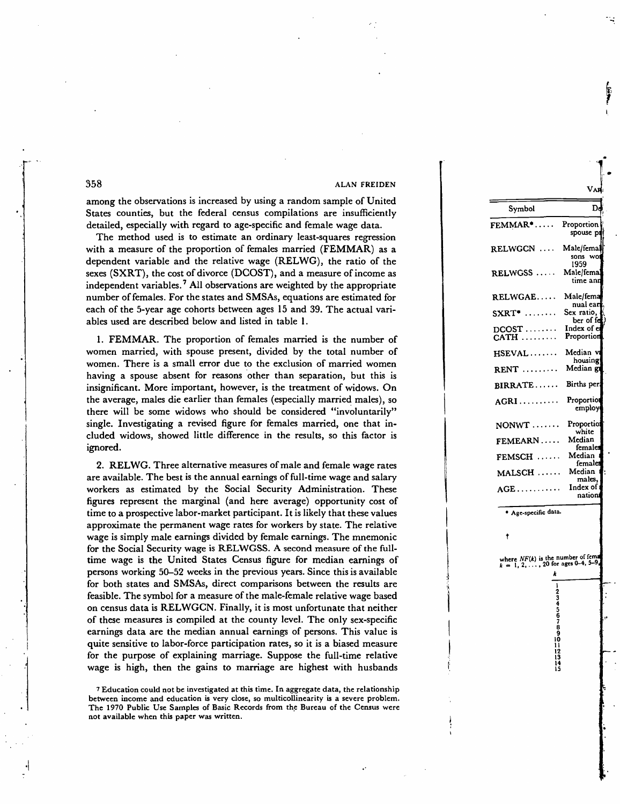among the observations is increased by using a random sample of United States counties, but the federal census compilations are insufficiently detailed, especially with regard to age-specific and female wage data.

The method used is to estimate an ordinary least-squares regression with a measure of the proportion of females married (FEMMAR) as a dependent variable and the relative wage (RELWG), the ratio of the sexes (SXRT), the cost of divorce (DCOST), and a measure of income as independent variables.7 All observations are weighted by the appropriate number of females. For the states and SMSAs, equations are estimated for each of the 5-year age cohorts between ages 15 and 39. The actual variables used are described below and listed in table 1.

1. FEMMAR. The proportion of females married is the number of women married, with spouse present, divided by the total number of women. There is a small error due to the exclusion of married women having a spouse absent for reasons other than separation, but this is insignificant. More important, however, is the treatment of widows. On the average, males die earlier than females (especially married males), so there will be some widows who should be considered "involuntarily" single. Investigating a revised figure for females married, one that included widows, showed little difference in the results, so this factor is ignored.

2. RELWG. Three alternative measures of male and female wage rates are available. The best is the annual earnings of full-time wage and salary workers as estimated by the Social Security Administration. These figures represent the marginal (and here average) opportunity cost of time to a prospective labor-market participant. It is likely that these values approximate the permanent wage rates for workers by state. The relative wage is simply male earnings divided by female earnings. The mnemonic for the Social Security wage is RELWGSS. A second measure of the fulltime wage is the United States Census figure for median earnings of persons working 50—52 weeks in the previous years. Since this is available for both states and SMSAs, direct comparisons between the results are feasible. The symbol for a measure of the male-female relative wage based on census data is RELWGCN. Finally, it is most unfortunate that neither of these measures is compiled at the county level. The only sex-specific earnings data are the median annual earnings of persons. This value is quite sensitive to labor-force participation rates, so it is a biased measure for the purpose of explaining marriage. Suppose the full-time relative wage is high, then the gains to marriage are highest with husbands

<sup>7</sup> Education could not be investigated at this time. In aggregate data, the relationship between income and education is very close, so multicollinearity is a severe problem. The 1970 Public Use Samples of Basic Records from the Bureau of the Census were not available when this paper was written.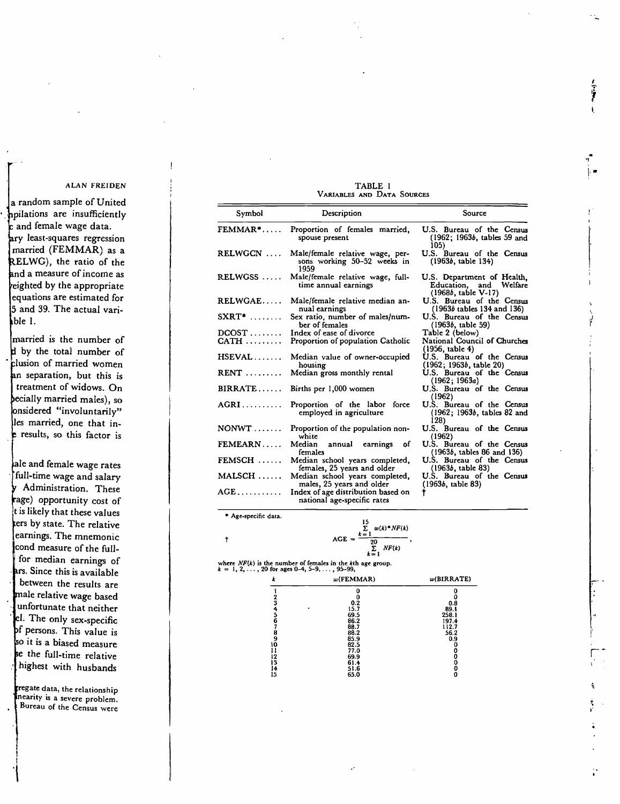|                            | TABLE I |  |  |
|----------------------------|---------|--|--|
| VARIABLES AND DATA SOURCES |         |  |  |

| Symbol            | Description                                                            | Source                                                                        |
|-------------------|------------------------------------------------------------------------|-------------------------------------------------------------------------------|
| $FEMMAR^*$        | Proportion of females married,<br>spouse present                       | U.S. Bureau of the Census<br>(1962; 1963b, tables 59 and<br>105)              |
| RELWGCN           | Male/female relative wage, per-<br>sons working 50-52 weeks in<br>1959 | U.S. Bureau of the Census<br>(1963b, table 134)                               |
| $RELWGS$          | Male/female relative wage, full-<br>time annual earnings               | U.S. Department of Health,<br>Education, and Welfare<br>$(1968b, table V-17)$ |
| RELWGAE           | Male/female relative median an-<br>nual earnings                       | U.S. Bureau of the Census<br>$(1963b$ tables 134 and 136)                     |
| $S\text{XRT}^*$   | Sex ratio, number of males/num-<br>ber of females                      | U.S. Bureau of the Census<br>(1963b, table 59)                                |
| $DCOST$<br>$CATH$ | Index of ease of divorce<br>Proportion of population Catholic          | Table 2 (below)<br>National Council of Churches                               |
| $HSEVAL$          | Median value of owner-occupied<br>housing                              | (1956, table 4)<br>U.S. Bureau of the Census<br>(1962; 1963b, table 20)       |
| $RENT$            | Median gross monthly rental                                            | U.S. Bureau of the Census<br>(1962; 1963a)                                    |
| $BIRRATE$         | Births per 1,000 women                                                 | U.S. Bureau of the Census<br>(1962)                                           |
| $AGRI$            | Proportion of the labor<br>force<br>employed in agriculture            | U.S. Bureau of the Census<br>$(1962; 1963b,$ tables 82 and<br>128)            |
| $NONWT \ldots$    | Proportion of the population non-<br>white                             | U.S. Bureau of the Census<br>(1962)                                           |
| FEMEARN           | Median<br>annual earnings of<br>females                                | U.S. Bureau of the Census<br>$(1963b,$ tables 86 and 136)                     |
| $FEMSCH$          | Median school years completed,<br>females, 25 years and older          | U.S. Bureau of the Census<br>(1963b, table 83)                                |
| $MALSCH$          | Median school years completed,<br>males, 25 years and older            | U.S. Bureau of the Census<br>(1963b, table 83)                                |
| $AGE$             | Index of age distribution based on<br>national age-specific rates      |                                                                               |
|                   |                                                                        |                                                                               |

\* Age-specific data.

 $\sim$ 

t

$$
AGE = \frac{\sum_{k=1}^{15} w(k)*NF(k)}{\sum_{k=1}^{20} NF(k)},
$$

where  $NF(k)$  is the number of females in the kth age group.<br> $k = 1, 2, \ldots, 20$  for ages 0-4, 5-9,  $\ldots, 95$ -99,

 $\mathcal{A}^{\mathcal{A}}$  .

| k                        | $w$ (FEMMAR)                         | w(BIRRATE)    |
|--------------------------|--------------------------------------|---------------|
|                          |                                      |               |
| 2                        |                                      |               |
| 3                        | 0.2                                  | 0.8           |
| ٠                        | 15.7                                 | 89.1          |
| 4<br>5<br>6              | 69.5                                 | 258.1         |
|                          | 86.2                                 | 197.4         |
|                          |                                      |               |
|                          |                                      |               |
|                          | 85.9                                 | 0.9           |
|                          |                                      |               |
|                          |                                      |               |
| 12                       | 69.9                                 |               |
|                          | 61.4                                 |               |
| İ4                       | 51.6                                 |               |
|                          |                                      | O             |
| 8<br>9<br>10<br>13<br>15 | 88.7<br>88.2<br>82.5<br>77.0<br>65.0 | 112.7<br>56.2 |

 $\mathcal{A}^{\text{max}}$ 

 $\sim 10^7$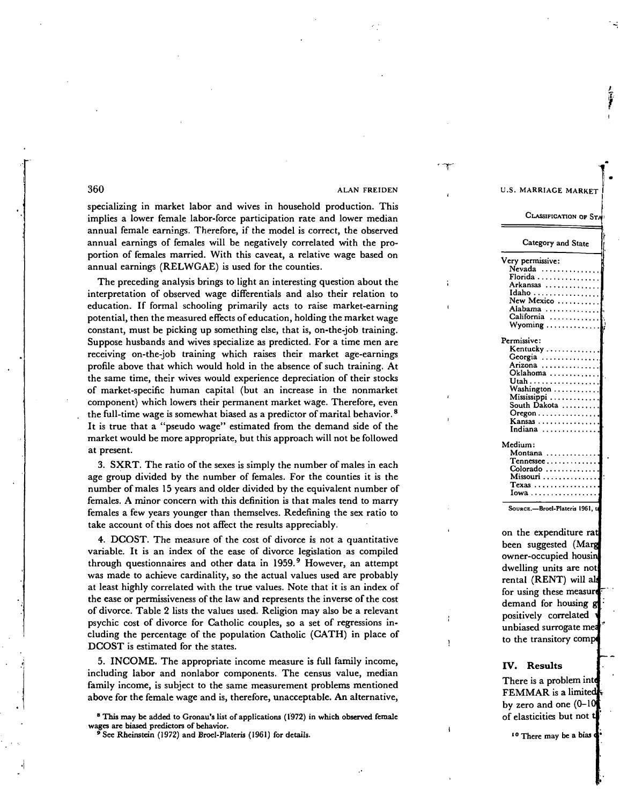ļ.

specializing in market labor and wives in household production. This implies a lower female labor-force participation rate and lower median annual female earnings. Therefore, if the model is correct, the observed annual earnings of females will be negatively correlated with the proportion of females married. With this caveat, a relative wage based on annual earnings (RELWGAE) is used for the counties.

The preceding analysis brings to light an interesting question about the interpretation of observed wage differentials and also their relation to education. If formal schooling primarily acts to raise market-earning potential, then the measured effects of education, holding the market wage constant, must be picking up something else, that is, on-the-job training. Suppose husbands and wives specialize as predicted. For a time men are receiving on-the-job training which raises their market age-earnings profile above that which would hold in the absence of such training. At the same time, their wives would experience depreciation of their stocks of market-specific human capital (but an increase in the nonmarket component) which lowers their permanent market wage. Therefore, even the full-time wage is somewhat biased as a predictor of marital behavior.8 It is true that a "pseudo wage" estimated from the demand side of the market would be more appropriate, but this approach will not be followed at present.

3. SXRT. The ratio of the sexes is simply the number of males in each age group divided by the number of females. For the counties it is the number of males 15 years and older divided by the equivalent number of females. A minor concern with this definition is that males tend to marry females a few years younger than themselves. Redefining the sex ratio to take account of this does not affect the results appreciably.

4. DCOST. The measure of the cost of divorce is not a quantitative variable. It is an index of the ease of divorce legislation as compiled through questionnaires and other data in 1959.<sup>9</sup> However, an attempt was made to achieve cardinality, so the actual values used are probably at least highly correlated with the true values. Note that it is an index of the ease or permissiveness of the law and represents the inverse of the cost of divorce. Table 2 lists the values used. Religion may also be a relevant psychic cost of divorce for Catholic couples, so a set of regressions including the percentage of the population Catholic (CATH) in place of DCOST is estimated for the states.

5. INCOME. The appropriate income measure is full family income, including labor and nonlabor components. The census value, median family income, is subject to the same measurement problems mentioned above for the female wage and is, therefore, unacceptable. An alternative,

<sup>8</sup> This may be added to Gronau's list of applications (1972) in which observed female wages are biased predictors of behavior.

<sup>&</sup>lt;sup>9</sup> See Rheinstein (1972) and Broel-Plateris (1961) for details.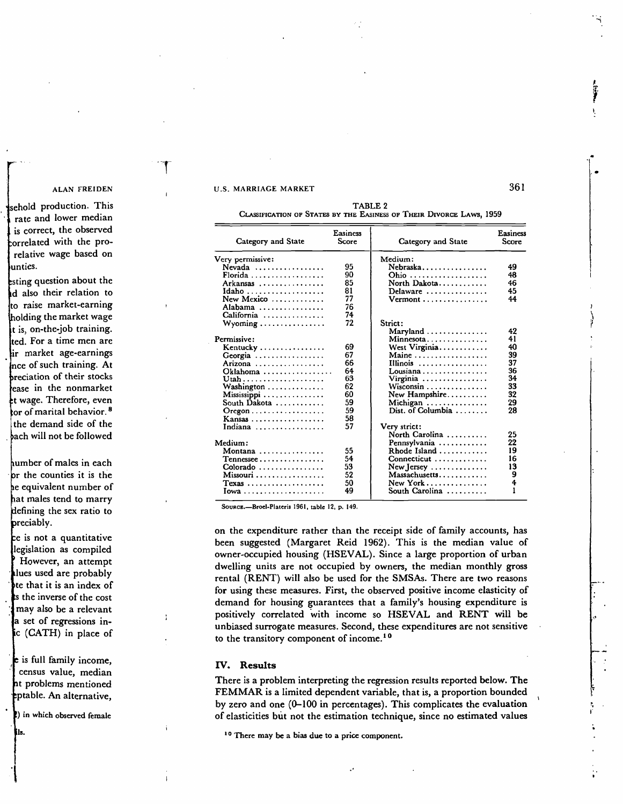### U.S. MARRIAGE MARKET

| Category and State                                | Easiness<br>Score | Category and State                     | Easiness<br>Score |
|---------------------------------------------------|-------------------|----------------------------------------|-------------------|
| Very permissive:                                  |                   | Medium:                                |                   |
| Nevada                                            | 95                | Nebraska                               | 49                |
| Florida                                           | 90                | Ohio                                   | 48                |
| Arkansas                                          | 85                | North Dakota                           | 46                |
|                                                   | 81                | Delaware                               | 45                |
| New Mexico                                        | 77                | Vermont                                | 44                |
| Alabama                                           | 76                |                                        |                   |
| California                                        | 74                |                                        |                   |
| Wyoming $\ldots \ldots \ldots \ldots$             | 72                | Strict:                                |                   |
|                                                   |                   | $Maryland \ldots \ldots \ldots \ldots$ | 42                |
| Permissive:                                       |                   |                                        | 41                |
| Kentucky                                          | 69                | West Virginia                          | 40                |
|                                                   | 67                | Maine                                  | 39                |
| Arizona                                           | 66                | Illinois                               | 37                |
| Oklahoma                                          | 64                | Lousiana                               | 36                |
| Utah                                              | 63                | Virginia $\ldots \ldots \ldots \ldots$ | 34                |
| Washington                                        | 62                | Wisconsin                              | 33                |
| Mississippi                                       | 60                | New Hampshire                          | 32                |
| South Dakota                                      | 59                | Michigan $\ldots \ldots \ldots \ldots$ | 29                |
| $O$ regon $\ldots \ldots \ldots \ldots \ldots$    | 59                | Dist. of Columbia $\ldots \ldots$      | 28                |
| Kansas                                            | 58                |                                        |                   |
| Indiana                                           | 57                | Very strict:                           |                   |
|                                                   |                   | North Carolina $\ldots \ldots$         | 25                |
| Medium:                                           |                   | Pennsylvania                           | 22                |
| Montana                                           | 55                | Rhode Island                           | 19                |
| $T$ ennessee $\ldots \ldots \ldots \ldots \ldots$ | 54                | Connecticut                            | 16                |
|                                                   | 53                | $NewJersey$                            | 13                |
| Missouri                                          | 52                | Massachusetts                          | 9                 |
| Texas                                             | 50                |                                        | 4                 |
| Iowa                                              | 49                | South Carolina $\ldots$                |                   |

Classification of States by the Easiness of Their Divorce Laws, 1959 TABLE 2

SOURCE.--Broel-Plateris 1961, table 12, p. 149.

on the expenditure rather than the receipt side of family accounts, has been suggested (Margaret Reid 1962). This is the median value of owner-occupied housing (HSEVAL). Since a large proportion of urban dwelling units are not occupied by owners, the median monthly gross rental (RENT) will also be used for the SMSAs. There are two reasons for using these measures. First, the observed positive income elasticity of demand for housing guarantees that a family's housing expenditure is positively correlated with income so HSEVAL and RENT will be unbiased surrogate measures. Second, these expenditures are not sensitive to the transitory component of income.<sup>10</sup>

# IV. Results

There is a problem interpreting the regression results reported below. The FEMMAR is a limited dependent variable, that is, a proportion bounded by zero and one (0—100 in percentages). This complicates the evaluation of elasticities but not the estimation technique, since no estimated values

 $\cdot$ 

<sup>10</sup> There may be a bias due to a price component.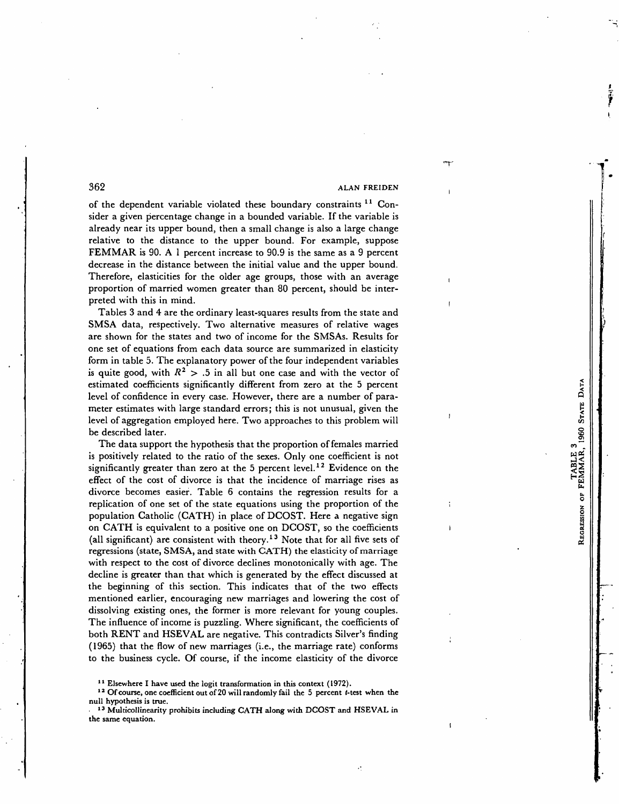$\boldsymbol{\cdot}$ 

of the dependent variable violated these boundary constraints <sup>11</sup> Consider a given percentage change in a bounded variable. If the variable is already near its upper bound, then a small change is also a large change relative to the distance to the upper bound. For example, suppose FEMMAR is 90. A 1 percent increase to 90.9 is the same as a 9 percent decrease in the distance between the initial value and the upper bound. Therefore, elasticities for the older age groups, those with an average proportion of married women greater than 80 percent, should be interpreted with this in mind.

Tables 3 and 4 are the ordinary least-squares results from the state and SMSA data, respectively. Two alternative measures of relative wages are shown for the states and two of income for the SMSAs. Results for one set of equations from each data source are summarized in elasticity form in table 5. The explanatory power of the four independent variables is quite good, with  $R^2 > 0.5$  in all but one case and with the vector of estimated coefficients significantly different from zero at the 5 percent level of confidence in every case. However, there are a number of parameter estimates with large standard errors; this is not unusual, given the level of aggregation employed here. Two approaches to this problem will be described later.

The data support the hypothesis that the proportion of females married is positively related to the ratio of the sexes. Only one coefficient is not significantly greater than zero at the 5 percent level.<sup>12</sup> Evidence on the effect of the cost of divorce is that the incidence of marriage rises as divorce becomes easier. Table 6 contains the regression results for a replication of one set of the state equations using the proportion of the population Catholic (CATH) in place of DCOST. Here a negative sign on CATH is equivalent to a positive one on DCOST, so the coefficients (all significant) are consistent with theory.<sup>13</sup> Note that for all five sets of regressions (state, SMSA, and state with CATH) the elasticity of marriage with respect to the cost of divorce declines monotonically with age. The decline is greater than that which is generated by the effect discussed at the beginning of this section. This indicates that of the two effects mentioned earlier, encouraging new marriages and lowering the cost of dissolving existing ones, the former is more relevant for young couples. The influence of income is puzzling. Where significant, the coefficients of both RENT and HSEVAL are negative. This contradicts Silver's finding (1965) that the flow of new marriages (i.e., the marriage rate) conforms to the business cycle. Of course, if the income elasticity of the divorce

<sup>&</sup>lt;sup>11</sup> Elsewhere I have used the logit transformation in this context (1972).<br><sup>12</sup> Of course, one coefficient out of 20 will randomly fail the 5 percent *t*-test when the null hypothesis is true.

<sup>&</sup>lt;sup>13</sup> Multicollinearity prohibits including CATH along with DCOST and HSEVAL in the same equation.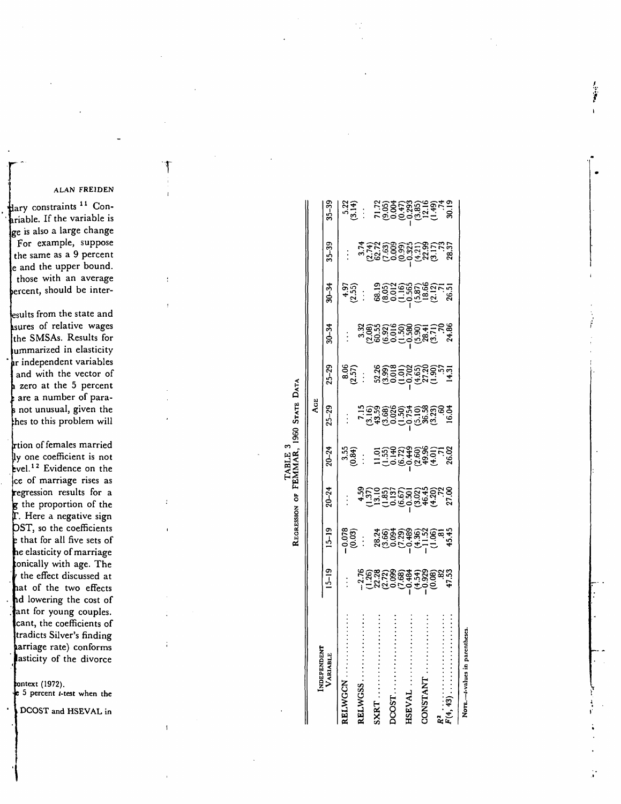TABLE 3<br>REGRESSION OF FEMMAR, 1960 STATE DATA

II

 $\ddot{\phantom{0}}$ 

 $\overline{\phantom{a}}$ 

 $\ddot{\phantom{0}}$ 

 $\ddot{\cdot}$ 

| INDEPENDENT                   |           |         |                                                                                                                      |                                                                             | Åœ                                                                                  |                                                                                                                                                          |       |                                                                                                                                                                                                                                                                                                                                    |                                                        |                                          |
|-------------------------------|-----------|---------|----------------------------------------------------------------------------------------------------------------------|-----------------------------------------------------------------------------|-------------------------------------------------------------------------------------|----------------------------------------------------------------------------------------------------------------------------------------------------------|-------|------------------------------------------------------------------------------------------------------------------------------------------------------------------------------------------------------------------------------------------------------------------------------------------------------------------------------------|--------------------------------------------------------|------------------------------------------|
| VARIABLE                      | $15 - 19$ | $15-19$ | $20 - 24$                                                                                                            | $20 - 24$                                                                   | $25 - 29$                                                                           | $25 - 29$                                                                                                                                                | 30–34 | $30 - 34$                                                                                                                                                                                                                                                                                                                          | $35 - 39$                                              | $35 - 35$                                |
| RELWGCN                       |           |         |                                                                                                                      |                                                                             |                                                                                     |                                                                                                                                                          |       |                                                                                                                                                                                                                                                                                                                                    |                                                        |                                          |
| RELWGSS                       |           |         |                                                                                                                      |                                                                             |                                                                                     |                                                                                                                                                          |       |                                                                                                                                                                                                                                                                                                                                    |                                                        | $\frac{53}{3}$ :                         |
|                               |           |         |                                                                                                                      |                                                                             |                                                                                     |                                                                                                                                                          |       |                                                                                                                                                                                                                                                                                                                                    |                                                        |                                          |
|                               |           |         |                                                                                                                      |                                                                             |                                                                                     |                                                                                                                                                          |       |                                                                                                                                                                                                                                                                                                                                    |                                                        |                                          |
|                               |           |         | $4.57$<br>$-2.59$<br>$-2.59$<br>$-2.59$<br>$-2.59$<br>$-2.59$<br>$-2.59$<br>$-2.59$<br>$-2.59$<br>$-2.59$<br>$-2.59$ | <b>223</b><br><b>2342224263610752636</b><br>265260607676268<br>266067676768 | : 1933 සිදුවිනිසි සිදුවියි.<br>1939 සිදුවියි. 1938 සිදුවියි.<br>1939 සිදුවියි. 1939 | $(2.57)$<br>$(2.57)$<br>$(3.36)$<br>$(3.39)$<br>$(3.30)$<br>$(3.30)$<br>$(3.30)$<br>$(3.30)$<br>$(3.30)$<br>$(3.30)$<br>$(3.30)$<br>$(3.30)$<br>$(4.31)$ |       | $\begin{array}{rl} 4.97 \\ (2.55) \\ (3.59) \\ (3.60) \\ (4.00) \\ (5.00) \\ (6.00) \\ (7.50) \\ (8.00) \\ (9.00) \\ (1.00) \\ (1.00) \\ (2.00) \\ (3.00) \\ (4.00) \\ (5.00) \\ (6.00) \\ (7.00) \\ (9.00) \\ (1.00) \\ (1.00) \\ (2.00) \\ (3.00) \\ (4.00) \\ (4.00) \\ (5.00) \\ (6.00) \\ (7.00) \\ (9.00) \\ (1.00) \\ (1.0$ | 3.723699932585758<br>0.723699932586758<br>0.7236999285 | 21.73<br>000473852497.74<br>000000212.75 |
| CONSTANT                      |           |         |                                                                                                                      |                                                                             |                                                                                     |                                                                                                                                                          |       |                                                                                                                                                                                                                                                                                                                                    |                                                        |                                          |
| .<br>$F(4, 43) \ldots \ldots$ |           |         |                                                                                                                      |                                                                             |                                                                                     |                                                                                                                                                          |       |                                                                                                                                                                                                                                                                                                                                    |                                                        |                                          |
|                               |           |         |                                                                                                                      |                                                                             |                                                                                     |                                                                                                                                                          |       |                                                                                                                                                                                                                                                                                                                                    |                                                        |                                          |

Nore.--t-values in parentheses.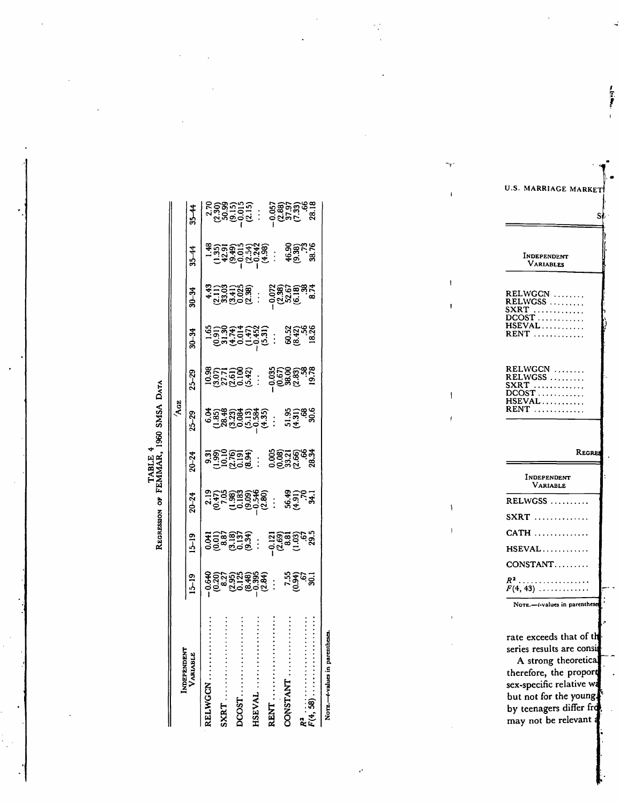|                         |                                                                        |           |                                                                                                                                                                                                                                                                                                                                                                                                                                         |           | AGE                                                                         |           |                                                                                          |                                                          |                                                                                                                                                                                                                                           |          |
|-------------------------|------------------------------------------------------------------------|-----------|-----------------------------------------------------------------------------------------------------------------------------------------------------------------------------------------------------------------------------------------------------------------------------------------------------------------------------------------------------------------------------------------------------------------------------------------|-----------|-----------------------------------------------------------------------------|-----------|------------------------------------------------------------------------------------------|----------------------------------------------------------|-------------------------------------------------------------------------------------------------------------------------------------------------------------------------------------------------------------------------------------------|----------|
| Independent<br>Variable | $15 - 19$                                                              | $15 - 19$ | 20-24                                                                                                                                                                                                                                                                                                                                                                                                                                   | $20 - 24$ | $25 - 29$                                                                   | $25 - 29$ | $30 - 34$                                                                                | $30 - 34$                                                | $35 - 44$                                                                                                                                                                                                                                 | र<br>इन् |
|                         |                                                                        |           |                                                                                                                                                                                                                                                                                                                                                                                                                                         |           |                                                                             |           |                                                                                          |                                                          |                                                                                                                                                                                                                                           |          |
| <b>SXRT</b>             |                                                                        |           |                                                                                                                                                                                                                                                                                                                                                                                                                                         |           |                                                                             |           |                                                                                          |                                                          |                                                                                                                                                                                                                                           |          |
| <b>COST</b>             |                                                                        |           |                                                                                                                                                                                                                                                                                                                                                                                                                                         |           |                                                                             |           |                                                                                          |                                                          |                                                                                                                                                                                                                                           |          |
| HSEVA                   |                                                                        |           |                                                                                                                                                                                                                                                                                                                                                                                                                                         |           |                                                                             |           |                                                                                          |                                                          |                                                                                                                                                                                                                                           |          |
| RENT                    |                                                                        |           |                                                                                                                                                                                                                                                                                                                                                                                                                                         |           |                                                                             |           |                                                                                          |                                                          |                                                                                                                                                                                                                                           |          |
| <b>TANTSNOT</b>         |                                                                        |           |                                                                                                                                                                                                                                                                                                                                                                                                                                         |           |                                                                             |           |                                                                                          |                                                          |                                                                                                                                                                                                                                           |          |
| ສຸ<br>F (4,             | င်<br>မိုင်းဦးမိုးနေ့နေ့ မိုးမိုးမိုး<br>အမွန်းမိုးနေ့နေ့ မိုးမိုးမိုး |           | $\begin{array}{lll} \mathbf{1} & \mathbf{3} & \mathbf{4} & \mathbf{5} \\ \mathbf{2} & \mathbf{3} & \mathbf{4} & \mathbf{5} \\ \mathbf{3} & \mathbf{4} & \mathbf{5} & \mathbf{5} \\ \mathbf{4} & \mathbf{5} & \mathbf{5} & \mathbf{5} \\ \mathbf{5} & \mathbf{6} & \mathbf{5} & \mathbf{5} \\ \mathbf{6} & \mathbf{6} & \mathbf{5} & \mathbf{5} \\ \mathbf{7} & \mathbf{8} & \mathbf{5} & \mathbf{5} \\ \mathbf{8} & \mathbf{6} & \math$ |           | \$63\$63\$63\$6; \$63\$6<br>\$63\$63\$63\$6; \$63\$6<br>\$63\$63\$6; \$63\$ |           | ទី១១ មិន មិន មិន មិន មិន<br>ការធ្វើមាន មិន មិន មិន មិន មិន<br>ការធ្វើមាន មិន មិន មិន មិន | #1131138<br>#11311388<br>#11311388<br>#1131288 + 1286587 | <b>ිය වර්ගී විශ්යාවේ සිදුවීම</b><br>- පිලිවිසින් සිදුවී විසින් සිදුවී<br>- පිලිවිසින් සිදුවී සිදුවී සිදුවී සිදුවී සිදුවී සිදුවී සිදුවී සිදුවී සිදුවී සිදුවී සිදුවී සිදුවී සිදුවී සිදුවී<br>- පිලිවිසින් සිදුවී සිදුවී සිදුවී සිදුවී සිදුව |          |

TABLE 4<br>Regression of FEMMAR, 1960 SMSA Data

 $\ddot{\phantom{0}}$ 

Nors.--t-values in parentheses.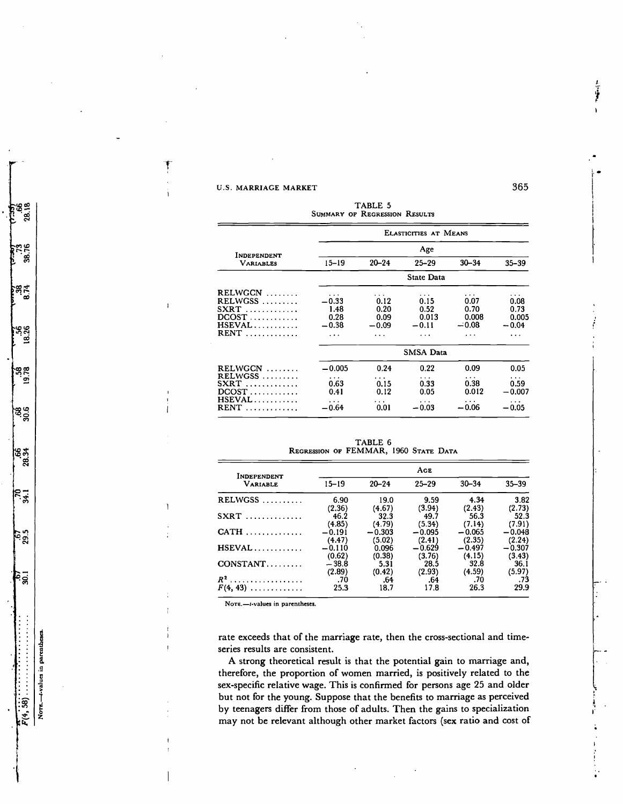|                                                                         |                                                            |                                           | ELASTICITIES AT MEANS                                                        |                                            |                                                   |
|-------------------------------------------------------------------------|------------------------------------------------------------|-------------------------------------------|------------------------------------------------------------------------------|--------------------------------------------|---------------------------------------------------|
| INDEPENDENT                                                             |                                                            |                                           | Age                                                                          |                                            |                                                   |
| <b>VARIABLES</b>                                                        | $15 - 19$                                                  | $20 - 24$                                 | $25 - 29$                                                                    | $30 - 34$                                  | $35 - 39$                                         |
|                                                                         |                                                            |                                           | State Data                                                                   |                                            |                                                   |
| $RELWGCN$<br>$RELWGS$<br>$S\text{XRT}$<br>$DCOST$<br>$HSEVAL$<br>$RENT$ | $\cdots$<br>$-0.33$<br>1.48<br>0.28<br>$-0.38$<br>$\cdots$ | .<br>0.12<br>0.20<br>0.09<br>$-0.09$<br>. | $\cdots$<br>0.15<br>0.52<br>0.013<br>$-0.11$<br>$\cdots$<br><b>SMSA Data</b> | .<br>0.07<br>0.70<br>0.008<br>$-0.08$<br>. | .<br>0.08<br>0.73<br>0.005<br>$-0.04$<br>$\cdots$ |
| $RELWGCN$                                                               | $-0.005$                                                   | 0.24                                      | 0.22                                                                         | 0.09                                       | 0.05                                              |
| $RELWGSS$<br>$S\text{XRT}$<br>$DCOST$                                   | .<br>0.63<br>0.41                                          | .<br>0.15<br>0.12                         | $\cdots$<br>0.33<br>0.05                                                     | .<br>0.38<br>0.012                         | .<br>0.59<br>$-0.007$                             |
| $HSEVAL$<br>$RENT$                                                      | $\cdots$<br>$-0.64$                                        | .<br>0.01                                 | $\cdots$<br>- 0.03                                                           | .<br>- 0.06                                | .<br>$-0.05$                                      |

TABLE 5 SUMMARY OF REGRESSION RESULTS

TABLE 6 REGRESSION OF FEMMAR, 1960 STATE DATA

|                 | REGRESSION OF FEMMAR, 1960 STATE DATA | TABLE 6               |                       |                       |                       |
|-----------------|---------------------------------------|-----------------------|-----------------------|-----------------------|-----------------------|
| INDEPENDENT     |                                       |                       | AGE                   |                       |                       |
| <b>VARIABLE</b> | $15 - 19$                             | $20 - 24$             | $25 - 29$             | $30 - 34$             | $35 - 39$             |
| $RELWGS$        | 6.90                                  | 19.0                  | 9.59                  | 4.34                  | 3.82                  |
| $S\text{XRT}$   | (2.36)<br>46.2                        | (4.67)<br>32.3        | (3.94)<br>49.7        | (2.43)<br>56.3        | (2.73)<br>52.3        |
| $CATH$          | (4.85)<br>$-0.191$                    | (4.79)<br>$-0.303$    | (5.34)<br>$-0.095$    | (7.14)<br>$-0.065$    | (7.91)<br>$-0.048$    |
| $HSEVAL$        | (4.47)<br>$-0.110$                    | (5.02)<br>0.096       | (2.41)<br>$-0.629$    | (2.35)<br>$-0.497$    | (2.24)<br>$-0.307$    |
| CONSTANT        | (0.62)<br>$-38.8$                     | (0.38)<br>5.31        | (3.76)<br>28.5        | (4.15)<br>32.8        | (3.43)<br>36.1        |
|                 | (2.89)<br>.70<br>25.3                 | (0.42)<br>.64<br>18.7 | (2.93)<br>.64<br>17.8 | (4.59)<br>.70<br>26.3 | (5.97)<br>.73<br>29.9 |

Nors.-t-values in parentheses.

rate exceeds that of the marriage rate, then the cross-sectional and timeseries results are consistent.

A strong theoretical result is that the potential gain to marriage and, therefore, the proportion of women married, is positively related to the sex-specific relative wage. This is confirmed for persons age 25 and older but not for the young. Suppose that the benefits to marriage as perceived by teenagers differ from those of adults. Then the gains to specialization may not be relevant although other market factors (sex ratio and cost of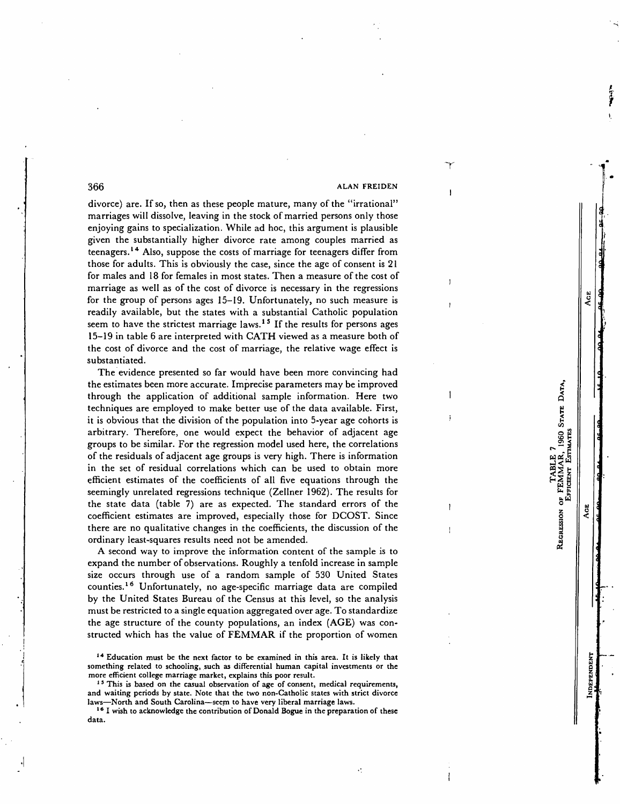divorce) are. If so, then as these people mature, many of the "irrational" marriages will dissolve, leaving in the stock of married persons only those enjoying gains to specialization. While ad hoc, this argument is plausible given the substantially higher divorce rate among couples married as teenagers.<sup>14</sup> Also, suppose the costs of marriage for teenagers differ from those for adults. This is obviously the case, since the age of consent is 21 for males and 18 for females in most states. Then a measure of the cost of marriage as well as of the cost of divorce is necessary in the regressions for the group of persons ages 15—19. Unfortunately, no such measure is readily available, but the states with a substantial Catholic population seem to have the strictest marriage laws.<sup>15</sup> If the results for persons ages 15—19 in table 6 are interpreted with CATH viewed as a measure both of the cost of divorce and the cost of marriage, the relative wage effect is substantiated.

The evidence presented so far would have been more convincing had the estimates been more accurate. Imprecise parameters may be improved through the application of additional sample information. Here two techniques are employed to make better use of the data available. First, it is obvious that the division of the population into 5-year age cohorts is arbitrary. Therefore, one would expect the behavior of adjacent age groups to be similar. For the regression model used here, the correlations of the residuals of adjacent age groups is very high. There is information in the set of residual correlations which can be used to obtain more efficient estimates of the coefficients of all five equations through the seemingly unrelated regressions technique (Zeilner 1962). The results for the state data (table 7) are as expected. The standard errors of the coefficient estimates are improved, especially those for DCOST. Since there are no qualitative changes in the coefficients, the discussion of the ordinary least-squares results need not be amended.

A second way to improve the information content of the sample is to expand the number of observations. Roughly a tenfold increase in sample size occurs through use of a random sample of 530 United States counties.'6 Unfortunately, no age-specific marriage data are compiled by the United States Bureau of the Census at this level, so the analysis must be restricted to a single equation aggregated over age. To standardize the age structure of the county populations, an index (AGE) was constructed which has the value of FEMMAR if the proportion of women

<sup>14</sup> Education must be the next factor to be examined in this area. It is likely that something related to schooling, such as differential human capital investments or the more efficient college marriage market, explains this poor result.

<sup>&</sup>lt;sup>15</sup> This is based on the casual observation of age of consent, medical requirements, and waiting periods by state. Note that the two non-Catholic states with strict divorce laws—North and South Carolina—seem to have very liberal marriage laws.

<sup>&</sup>lt;sup>16</sup> I wish to acknowledge the contribution of Donald Bogue in the preparation of these data.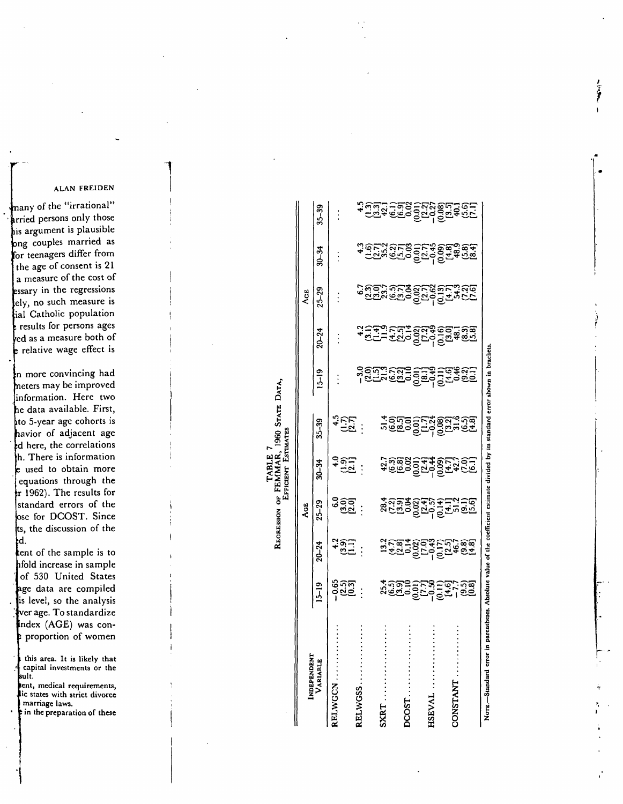TABLE 7<br>Recression of FEMMAR, 1960 State Data,

 $\ddot{\phantom{0}}$ 

 $\ddot{\phantom{0}}$ 

| INDEPENDENT    |                                                          |                                                                                 | ÅGE                                            |                                                                                                                                                                                                                                     |                                                                                       |                                                                   |                                                                                                | Ace                                    |                                                                                                          |       |
|----------------|----------------------------------------------------------|---------------------------------------------------------------------------------|------------------------------------------------|-------------------------------------------------------------------------------------------------------------------------------------------------------------------------------------------------------------------------------------|---------------------------------------------------------------------------------------|-------------------------------------------------------------------|------------------------------------------------------------------------------------------------|----------------------------------------|----------------------------------------------------------------------------------------------------------|-------|
| VARIABLE       | $15 - 19$                                                | $20 - 24$                                                                       | $25 - 29$                                      | <b>SQ-34</b>                                                                                                                                                                                                                        | $35 - 39$                                                                             | $15 - 19$                                                         | $20 - 24$                                                                                      | $25 - 29$                              | 30–34                                                                                                    | 35–39 |
| RELWGCN.       | ဒီ၁၅<br>၁၀၁ :                                            | 49.1                                                                            | <u> ತಿತ್ತವೆ</u> :                              | $\begin{array}{c} 9.01 \\ + .01 \\ - .01 \end{array}$                                                                                                                                                                               | $4.5$<br>$(2.7)$<br>$(2.7)$                                                           |                                                                   |                                                                                                |                                        |                                                                                                          |       |
| RELWGSS        |                                                          |                                                                                 |                                                |                                                                                                                                                                                                                                     |                                                                                       |                                                                   |                                                                                                |                                        |                                                                                                          |       |
|                |                                                          |                                                                                 |                                                |                                                                                                                                                                                                                                     |                                                                                       |                                                                   |                                                                                                |                                        |                                                                                                          |       |
| <b>DCOST</b> . |                                                          |                                                                                 |                                                |                                                                                                                                                                                                                                     |                                                                                       |                                                                   |                                                                                                |                                        |                                                                                                          |       |
| HSEVAL         |                                                          |                                                                                 |                                                |                                                                                                                                                                                                                                     |                                                                                       |                                                                   |                                                                                                |                                        |                                                                                                          |       |
| CONSTANT       | ಸ್ಥಿತಿವರ ರಿಲ್ಲರ್ ರೈಸ್ 1 ಎಂ<br>ಸ್ಥಿತಿವರ ರಿಲ್ಲರ್ ರೈಸ್ 1 ಎಂ | ដូ <u>ប័ទ្ម ទី១៩ភូមិ</u> ប្រាសូទ្រ<br>ដូ <u>វី ម</u> ីទី១៩ភូមិប្រាសូទ្រ<br>ដូវី | ಇಲ್ಲದಲ್ಲಿ ರಸ್ತೆ ಕಾರ್ಯ<br>ಇಲ್ಲದಲ್ಲಿ ರಸ್ತೆ ಕಾರ್ಯ | م و و علم و حافظ بن الله علم الله علم الله علم الله علم الله علم الله علم الله علم الله علم الله عل<br>الله علم الله علم الله علم الله علم الله علم الله علم الله علم الله علم الله علم الله علم الله علم الله علم ال<br>الله علم ا | ್ದ ಅಸ್ತರ ರೈದ್ಯಕ್ಷಿ ಅಸ್ತ್ರಗಳು<br>ಸಂಸ್ಥಾತ ರೈದ್ಯಕ್ಷಿ ಶೈನ್ಯಕ್ಷ<br>ವಂಗತ ರೈದ್ಯಕ್ಷಿ ಶೈನ್ಯಕ್ಷ | ್ಷಲ್ಪಪ್ಪಲ್ಪಪ್ಪ ಪ್ರಸ್ತರವನ್ನು<br>ಪ್ರಸ್ತುಪಪ್ಪ ಪ್ರಸ್ತರವನ್ನು ಪ್ರಸ್ತುತಿ | م ماتا معاون ماتا معاون ماتا معاونة<br>ماتا معاون من معاون ماتا معاونة<br>ماتا معاونة المعاونة | <b>ۣ</b><br>ۄۊؾ؋ؾ؏ۊؾۄڡؾ۩؋ؾ؋ڡ<br>ڋۄڡ؉ۄؾ | ್ಯ ರಲ್ಲ ಇಲ್ಲಿ ರಲ್ಲಿ ರಂತ್ರ ರಂತ್ರ<br>ಪ್ರಸ್ತುಪ್ರ ರಂತ್ರ ರಂತ್ರ ರಂತ್ರ<br>ವಿಧ್ವ ರಲ್ಲಿ ರಲ್ಲಿ ರಲ್ಲಿ ರಾಷ್ಟ್ರ ರಂತ್ರ |       |
|                |                                                          |                                                                                 |                                                |                                                                                                                                                                                                                                     |                                                                                       |                                                                   |                                                                                                |                                        |                                                                                                          |       |

 $\ddot{\phantom{0}}$ 

Norg.-Standard error in parentheses. Absolute value of the coefficient estimate divided by its standard error shown in brackets.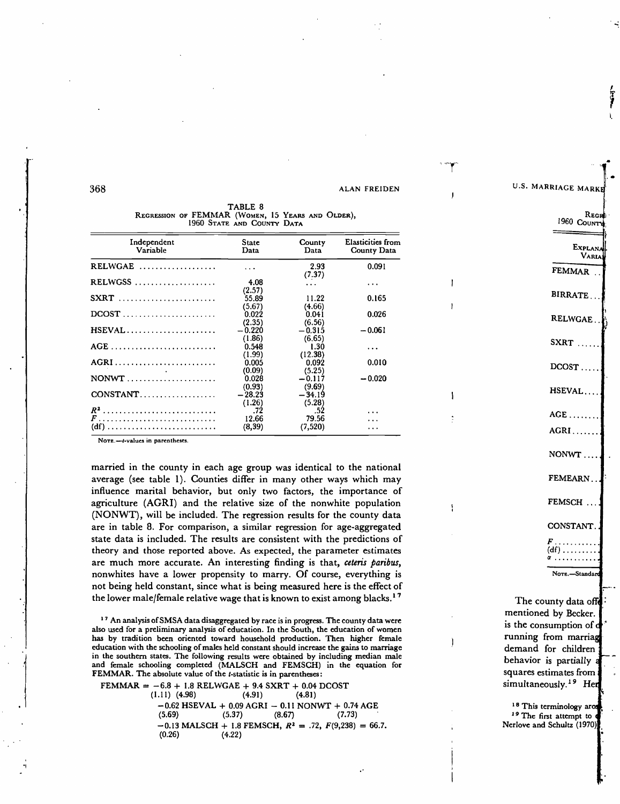| Independent<br>Variable                                 | State<br>Data      | County<br>Data     | Elasticities from<br><b>County Data</b> |
|---------------------------------------------------------|--------------------|--------------------|-----------------------------------------|
| $RELWGAE$                                               | $\cdots$           | 2.93<br>(7.37)     | 0.091                                   |
| $RELWGSS$                                               | 4.08<br>(2.57)     | $\cdots$           | $\cdots$                                |
| <b>SXRT</b>                                             | 55.89<br>(5.67)    | 11.22<br>(4.66)    | 0.165                                   |
| $DCOST$                                                 | 0.022<br>(2.35)    | 0.041<br>(6.56)    | 0.026                                   |
| $HSEVAL$                                                | $-0.220$<br>(1.86) | $-0.315$<br>(6.65) | $-0.061$                                |
|                                                         | 0.548<br>(1.99)    | 1.30               | $\cdots$                                |
|                                                         | 0.005              | (12.38)<br>0.092   | 0.010                                   |
| $NONWT \dots \dots \dots \dots \dots \dots \dots \dots$ | (0.09)<br>0.028    | (5.25)<br>$-0.117$ | $-0.020$                                |
| $CONSTANT$                                              | (0.93)<br>$-28.23$ | (9.69)<br>$-34.19$ |                                         |
|                                                         | (1.26)<br>.72      | (5.28)<br>.52      | $\cdots$                                |
|                                                         | 12.66<br>(8, 39)   | 79.56<br>(7,520)   | $\cdots$<br>$\cdots$                    |

TABLE 8 REGRESSION OF FEMMAR (WoMEN, 15 YEARS AND OLDER), 1960 STATE AND COUNTY DATA

Norg.---t-values in parentheses.

married in the county in each age group was identical to the national average (see table 1). Counties differ in many other ways which may influence marital behavior, but only two factors, the importance of agriculture (AGRI) and the relative size of the nonwhite population (NONWT), will be included. The regression results for the county data are in table 8. For comparison, a similar regression for age-aggregated state data is included. The results are consistent with the predictions of theory and those reported above. As expected, the parameter estimates are much more accurate. An interesting finding is that, ceteris paribus, nonwhites have a lower propensity to marry. Of course, everything is not being held constant, since what is being measured here is the effect of the lower male/female relative wage that is known to exist among blacks.<sup>17</sup>

<sup>17</sup> An analysis of SMSA data disaggregated by race is in progress. The county data were also used for a preliminary analysis of education. In the South, the education of women has by tradition been oriented toward household production. Then higher female education with the schooling of males held constant should increase the gains to marriage in the southern states. The following results were obtained by including median male and female schooling completed (MALSCH and FEMSCH) in the equation for FEMMAR. The absolute value of the *t*-statistic is in parentheses:

$$
FEMMAR = -6.8 + 1.8 RELWGAE + 9.4 SXRT + 0.04 DCOST
$$
\n(1.11) (4.98) (4.91) (4.81)  
\n
$$
-0.62 HSEVAL + 0.09 AGRI - 0.11 NONWT + 0.74 AGE
$$
\n(5.69) (5.37) (8.67) (7.73)  
\n
$$
-0.13 MALSCH + 1.8 FEMSCH, R2 = .72, F(9,238) = 66.7.
$$
\n(0.26) (4.22)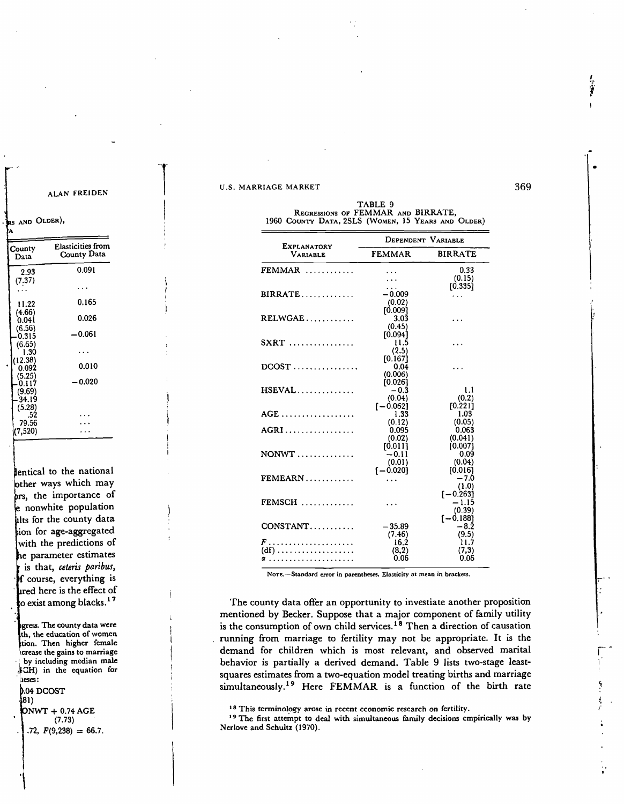|                                     |                   | DEPENDENT VARIABLE |
|-------------------------------------|-------------------|--------------------|
| EXPLANATORY<br>VARIABLE             | <b>FEMMAR</b>     | <b>BIRRATE</b>     |
| $FEMMAR$                            |                   | 0.33               |
|                                     |                   | (0.15)             |
|                                     |                   | [0.335]            |
| $BIRRATE$                           | $-0.009$          |                    |
|                                     | (0.02)            |                    |
|                                     | [0.009]           |                    |
| $RELWGAE$                           | 3.03              |                    |
|                                     | (0.45)<br>[0.094] |                    |
| $SXRT$                              | 11.5              |                    |
|                                     | (2.5)             |                    |
|                                     | [0.167]           |                    |
| $DCOST$                             | 0.04              |                    |
|                                     | (0.006)           |                    |
|                                     | [0.026]           |                    |
| $HSEVAL$                            | $-0.3$            | 1.1                |
|                                     | (0.04)            | (0.2)              |
|                                     | $[-0.062]$        | [0.221]            |
| AGE                                 | 1.33              | 1.03               |
|                                     | (0.12)            | (0.05)             |
| AGRI                                | 0.095             | 0.063              |
|                                     | (0.02)<br>[0.011] | (0.041)<br>[0.007] |
| $NONWT \ldots \ldots \ldots \ldots$ | $-0.11$           | 0.09               |
|                                     | (0.01)            | (0.04)             |
|                                     | $[-0.020]$        | [0.016]            |
| $FEMEARN$                           |                   | - 7.0              |
|                                     |                   | (1.0)              |
|                                     |                   | f – 0.2631         |
| $FEMSCH$                            |                   | $-1.15$            |
|                                     |                   | (0.39)             |
|                                     |                   | f -- 0.1881        |
| $CONSTANT$                          | $-35.89$          | -8.2               |
|                                     | (7.46)            | (9.5)              |
|                                     | 16.2              | 11.7               |
| $(df)$                              | (8,2)             | (7,3)<br>0.06      |
|                                     | 0.06              |                    |

TABLE 9 REGRESSIONS OP FEMMAR AND BIRRATE, 1960 COUNTY DATA, 2SLS (WOMEN, 15 YEARS AND OLDER)

The county data offer an opportunity to investiate another proposition mentioned by Becker. Suppose that a major component of family utility is the consumption of own child services.'8 Then a direction of causation running from marriage to fertility may not be appropriate. It is the demand for children which is most relevant, and observed marital behavior is partially a derived demand. Table 9 lists two-stage leastsquares estimates from a two-equation model treating births and marriage simultaneously.<sup>19</sup> Here FEMMAR is a function of the birth rate

<sup>18</sup> This terminology arose in recent economic research on fertility.

<sup>19</sup> The first attempt to deal with simultaneous family decisions empirically was by Nerlove and Schultz (1970).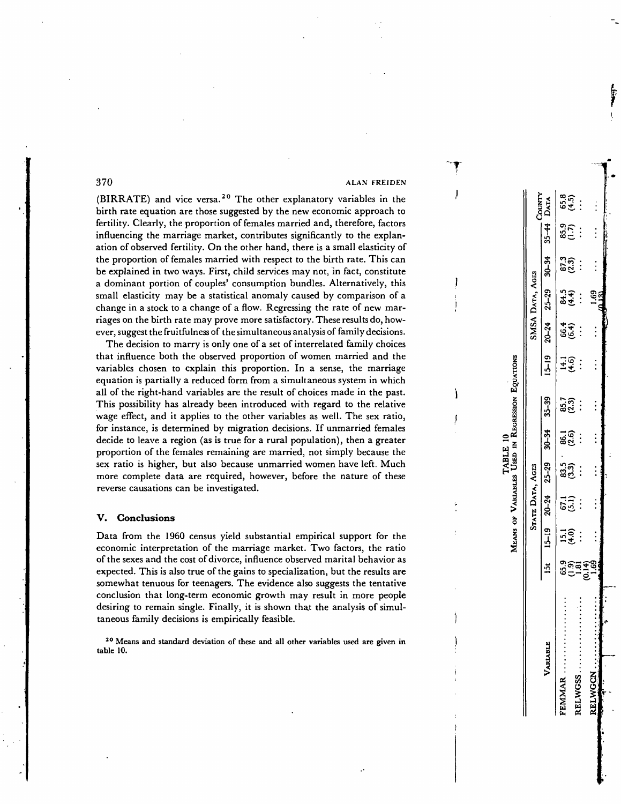$\cdot$ 

(BIRRATE) and vice versa.<sup>20</sup> The other explanatory variables in the birth rate equation are those suggested by the new economic approach to fertility. Clearly, the proportion of females married and, therefore, factors influencing the marriage market, contributes significantly to the explanation of observed fertility. On the other hand, there is a small elasticity of the proportion of females married with respect to the birth rate. This can be explained in two ways. First, child services may not, in fact, constitute a dominant portion of couples' consumption bundles. Alternatively, this small elasticity may be a statistical anomaly caused by comparison of a change in a stock to a change of a flow. Regressing the rate of new marriages on the birth rate may prove more satisfactory. These results do, however, suggest the fruitfulness of the simultaneous analysis of family decisions.

The decision to marry is only one of a set of interrelated family choices that influence both the observed proportion of women married and the variables chosen to explain this proportion. In a sense, the marriage equation is partially a reduced form from a simultaneous system in which all of the right-hand variables are the result of choices made in the past. This possibility has already been introduced with regard to the relative wage effect, and it applies to the other variables as well. The sex ratio, for instance, is determined by migration decisions. If unmarried females decide to leave a region (as is true for a rural population), then a greater proportion of the females remaining are married, not simply because the sex ratio is higher, but also because unmarried women have left. Much more complete data are required, however, before the nature of these reverse causations can be investigated.

# V. Conclusions

Data from the 1960 census yield substantial empirical support for the economic interpretation of the marriage market. Two factors, the ratio of the sexes and the cost of divorce, influence observed marital behavior as expected. This is also true of the gains to specialization, but the results are somewhat tenuous for teenagers. The evidence also suggests the tentative conclusion that long-term economic growth may result in more people desiring to remain single. Finally, it is shown that the analysis of simultaneous family decisions is empirically feasible.

<sup>20</sup> Means and standard deviation of these and all other variables used are given in table 10.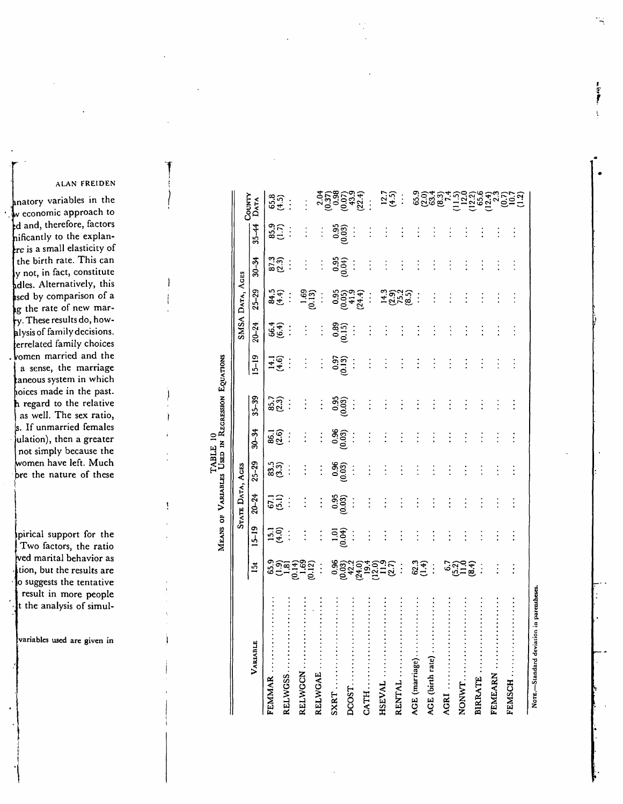TABLE 10<br>MEANS OF VARIABLES USED IN REGRESSION EQUATIONS

 $\ddot{\phantom{0}}$ 

|                  |                                                             |               | STATE DATA, AGES                            |                                                        |                                             |                                                    |                      |                   | SMSA DATA, AGES                   |                                             |                                             | Country           |
|------------------|-------------------------------------------------------------|---------------|---------------------------------------------|--------------------------------------------------------|---------------------------------------------|----------------------------------------------------|----------------------|-------------------|-----------------------------------|---------------------------------------------|---------------------------------------------|-------------------|
| VARIABLE         | $\frac{5}{2}$                                               | $15-19$       | $20 - 24$                                   | $25 - 29$                                              | $30 - 34$                                   | $35 - 39$                                          | $5 - 19$             | $20 - 24$         | $25 - 29$                         | $30 - 34$                                   | $35 - 44$                                   | D <sub>ATA</sub>  |
| FEMMAR           |                                                             | 159 :         | <u>ခြေ</u>                                  | $\begin{array}{c} 83.5 \\ (3.3) \\ \vdots \end{array}$ | င္တင္ပံု<br>အင္လိ                           | $\begin{smallmatrix} 65.7 \ 2.3 \end{smallmatrix}$ | $\vec{f}(\vec{e})$ : | $66.4$<br>$(6.4)$ |                                   | $\frac{873}{23}$                            | $\frac{85.9}{(1.7)}$                        | $65.3$<br>$(4.5)$ |
| RELWGSS          |                                                             |               |                                             |                                                        |                                             |                                                    |                      |                   | $34.5$<br>$(4.4)$                 |                                             |                                             |                   |
| RELWGCN.         | $6.9$<br>$3.49$<br>$-1.69$<br>$-1.69$<br>$-1.69$<br>$-1.69$ | $\frac{1}{2}$ | $\vdots$                                    | $\vdots$                                               | $\vdots$                                    | $\vdots$                                           | $\vdots$             | $\ddot{\cdot}$    | $1.69$<br>$(0.13)$                |                                             |                                             |                   |
| RELWGAE.         |                                                             | $\frac{1}{2}$ | $\vdots$                                    | $\vdots$                                               | $\vdots$                                    | $\vdots$                                           | ÷,                   | ÷                 | $\frac{1}{2}$                     | $\ddot{\cdot}$                              | $\frac{1}{2}$                               |                   |
| $S XRT$          |                                                             | $\frac{5}{9}$ | $\begin{array}{c} 0.95 \\ 0.03 \end{array}$ | $\frac{96}{90}$                                        | $\begin{array}{c} 0.03 \\ 0.03 \end{array}$ | 93<br>၁၀၁<br>၁                                     | $\frac{6}{12}$       |                   |                                   | $\begin{array}{c} 0.95 \\ 0.91 \end{array}$ | $\begin{array}{c} 0.95 \\ 0.03 \end{array}$ |                   |
| DCOST.           |                                                             |               |                                             |                                                        |                                             |                                                    |                      | $0.89$<br>$0.15)$ |                                   |                                             |                                             |                   |
| CATH             |                                                             | $\vdots$      | $\vdots$                                    | $\vdots$                                               | $\vdots$                                    | ÷                                                  | $\vdots$             | $\mathcal{A}$     | $(20.05)$<br>$(24.4)$<br>$(24.4)$ | ÷                                           | ÷                                           |                   |
| HSEVAL.          |                                                             | ÷             | $\vdots$                                    | $\vdots$                                               | Į.                                          | $\vdots$                                           | Į.                   | $\vdots$          |                                   | Ì,                                          | ÷                                           |                   |
| RENTAL.          |                                                             | ÷             | $\vdots$                                    | $\vdots$                                               | $\vdots$                                    | $\vdots$                                           |                      | $\ddot{\cdot}$    | 14929<br>1959<br>1959 :           | $\vdots$                                    | $\vdots$                                    |                   |
| AGE (marriage)   |                                                             | ÷             | $\vdots$                                    | $\vdots$                                               |                                             | l                                                  | Ξ                    | Ì                 |                                   | ÷.                                          | ÷.                                          |                   |
| AGE (birth rate) | အ<br>မေ−်                                                   | $\vdots$      | $\vdots$                                    | $\vdots$                                               |                                             | ÷                                                  |                      |                   | $\vdots$                          |                                             | $\ddot{\cdot}$                              |                   |
| ACRI             |                                                             | $\vdots$      | $\vdots$                                    | $\vdots$                                               | $\vdots$                                    | Į.                                                 |                      |                   | $\vdots$                          | $\vdots$                                    |                                             |                   |
| NONWT            | $6.7$<br>$6.2$ )<br>$4.4$<br>$6.3$                          | $\vdots$      | $\vdots$                                    |                                                        | $\vdots$                                    | $\vdots$                                           |                      |                   | $\vdots$                          |                                             |                                             |                   |
| BIRRATE          | ÷                                                           | l             | Ì                                           |                                                        |                                             | $\vdots$                                           |                      |                   |                                   |                                             |                                             |                   |
| FEMEARN          | $\frac{1}{2}$                                               |               |                                             |                                                        |                                             | $\ddot{\cdot}$                                     |                      |                   |                                   |                                             |                                             |                   |
| FEMSCH           |                                                             |               |                                             |                                                        |                                             |                                                    |                      |                   |                                   |                                             |                                             |                   |
|                  |                                                             |               |                                             |                                                        |                                             |                                                    |                      |                   |                                   |                                             |                                             |                   |

 $\ddot{\phantom{0}}$ 

Nore.-Standard deviation in parentheses.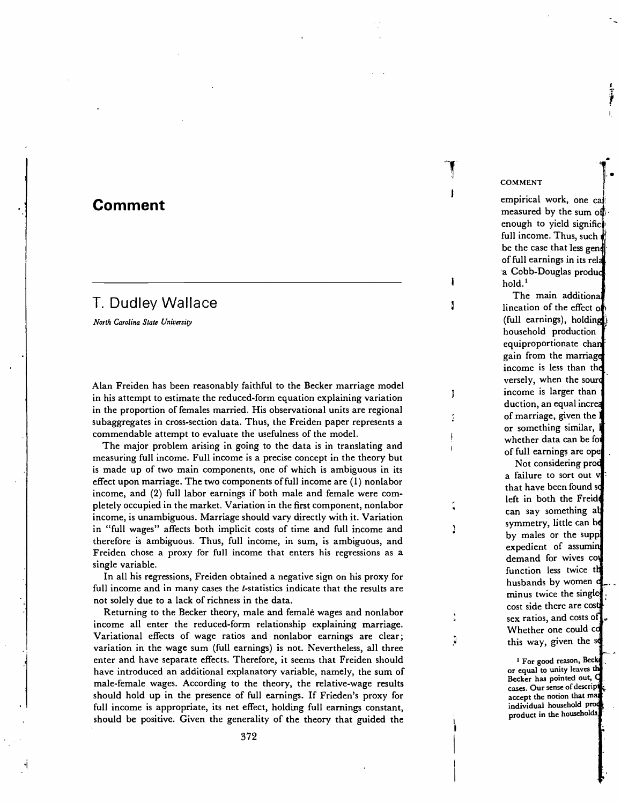# Comment

# T. Dudley Wallace

North Carolina State University

Alan Freiden has been reasonably faithful to the Becker marriage model in his attempt to estimate the reduced-form equation explaining variation in the proportion of females married. His observational units are regional subaggregates in cross-section data. Thus, the Freiden paper represents a commendable attempt to evaluate the usefulness of the model.

The major problem arising in going to the data is in translating and measuring full income. Full income is a precise concept in the theory but is made up of two main components, one of which is ambiguous in its effect upon marriage. The two components of full income are (1) nonlabor income, and (2) full labor earnings if both male and female were completely occupied in the market. Variation in the first component, nonlabor income, is unambiguous. Marriage should vary directly with it. Variation in "full wages" affects both implicit costs of time and full income and therefore is ambiguous. Thus, full income, in sum, is ambiguous, and Freiden chose a proxy for full income that enters his regressions as a single variable.

In all his regressions, Freiden obtained a negative sign on his proxy for full income and in many cases the t-statistics indicate that the results are not solely due to a lack of richness in the data.

Returning to the Becker theory, male and female wages and nonlabor income all enter the reduced-form relationship explaining marriage. Variational effects of wage ratios and nonlabor earnings are clear; variation in the wage sum (full earnings) is not. Nevertheless, all three enter and have separate effects. Therefore, it seems that Freiden should have introduced an additional explanatory variable, namely, the sum of male-female wages. According to the theory, the relative-wage results should hold up in the presence of full earnings. If Frieden's proxy for full income is appropriate, its net effect, holding full earnings constant, should be positive. Given the generality of the theory that guided the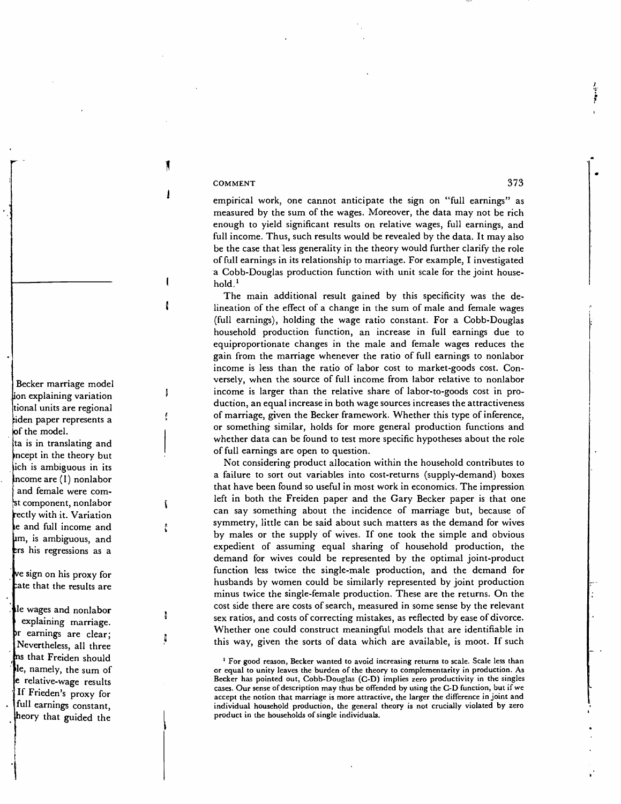### **373**

empirical work, one cannot anticipate the sign on "full earnings" as measured by the sum of the wages. Moreover, the data may not be rich enough to yield significant results on relative wages, full earnings, and full income. Thus, such results would be revealed by the data. It may also be the case that 'less generality in the theory would further clarify the role of full earnings in its relationship to marriage. For example, I investigated a Cobb-Douglas production function with unit scale for the joint house $h$ old.<sup>1</sup>

The main additional result gained by this specificity was the delineation of the effect of a change in the sum of male and female wages (full earnings), holding the wage ratio constant. For a Cobb-Douglas household production function, an increase in full earnings due to equiproportionate changes in the male and female wages reduces the gain from the marriage whenever the ratio of full earnings to nonlabor income is less than the ratio of labor cost to market-goods cost. Conversely, when the source of full income from labor relative to nonlabor income is larger than the relative share of labor-to-goods cost in production, an equal increase in both wage sources increases the attractiveness of marriage, given the Becker framework. Whether this type of inference, or something similar, holds for more general production functions and whether data can be found to test more specific hypotheses about the role of full earnings are open to question.

Not considering product allocation within the household contributes to a failure to sort out variables into cost-returns (supply-demand) boxes that have been found so useful in most work in economics. The impression left in both the Freiden paper and the Gary Becker paper is that one can say something about the incidence of marriage but, because of symmetry, little can be said about such matters as the demand for wives by males or the supply of wives. If one took the simple and obvious expedient of assuming equal sharing of household production, the demand for wives could be represented by the optimal joint-product function less twice the single-male production, and the demand for husbands by women could be similarly represented by joint production minus twice the single-female production. These are the returns. On the cost side there are costs of search, measured in some sense by the relevant sex ratios, and costs of correcting mistakes, as reflected by ease of divorce. Whether one could construct meaningful models that are identifiable in this way, given the sorts of data which are available, is moot. If such

 $<sup>1</sup>$  For good reason, Becker wanted to avoid increasing returns to scale. Scale less than</sup> or equal to unity leaves the burden of the theory to complementarity in production. As Becker has pointed out, Cobb-Douglas (C-D) implies zero productivity in the singles cases. Our sense of description may thus be offended by using the C-D function, but if we accept the notion that marriage is more attractive, the larger the difference in joint and individual household production, the general theory is not crucially violated by zero product in the households of single individuals.